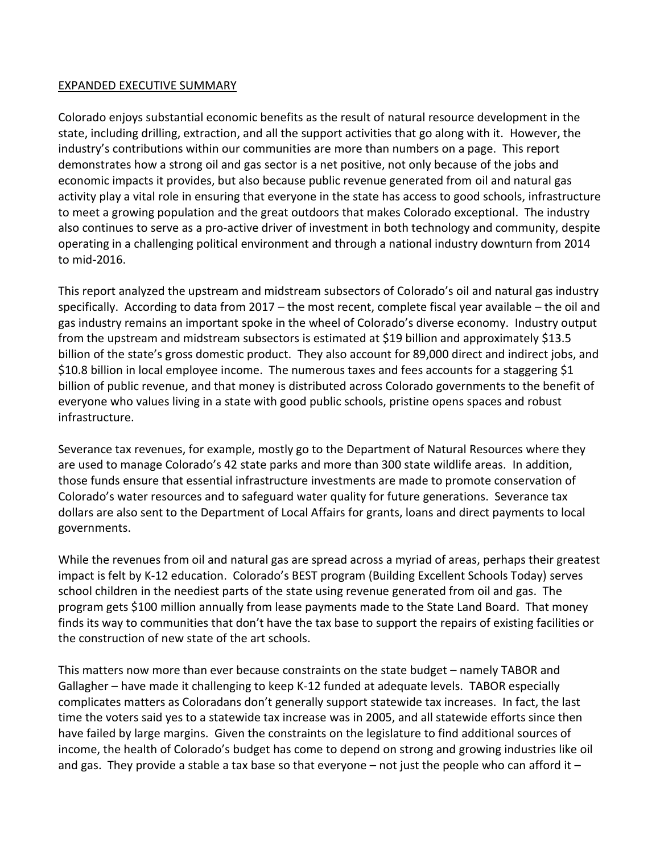## EXPANDED EXECUTIVE SUMMARY

Colorado enjoys substantial economic benefits as the result of natural resource development in the state, including drilling, extraction, and all the support activities that go along with it. However, the industry's contributions within our communities are more than numbers on a page. This report demonstrates how a strong oil and gas sector is a net positive, not only because of the jobs and economic impacts it provides, but also because public revenue generated from oil and natural gas activity play a vital role in ensuring that everyone in the state has access to good schools, infrastructure to meet a growing population and the great outdoors that makes Colorado exceptional. The industry also continues to serve as a pro-active driver of investment in both technology and community, despite operating in a challenging political environment and through a national industry downturn from 2014 to mid-2016.

This report analyzed the upstream and midstream subsectors of Colorado's oil and natural gas industry specifically. According to data from 2017 – the most recent, complete fiscal year available – the oil and gas industry remains an important spoke in the wheel of Colorado's diverse economy. Industry output from the upstream and midstream subsectors is estimated at \$19 billion and approximately \$13.5 billion of the state's gross domestic product. They also account for 89,000 direct and indirect jobs, and \$10.8 billion in local employee income. The numerous taxes and fees accounts for a staggering \$1 billion of public revenue, and that money is distributed across Colorado governments to the benefit of everyone who values living in a state with good public schools, pristine opens spaces and robust infrastructure.

Severance tax revenues, for example, mostly go to the Department of Natural Resources where they are used to manage Colorado's 42 state parks and more than 300 state wildlife areas. In addition, those funds ensure that essential infrastructure investments are made to promote conservation of Colorado's water resources and to safeguard water quality for future generations. Severance tax dollars are also sent to the Department of Local Affairs for grants, loans and direct payments to local governments.

While the revenues from oil and natural gas are spread across a myriad of areas, perhaps their greatest impact is felt by K-12 education. Colorado's BEST program (Building Excellent Schools Today) serves school children in the neediest parts of the state using revenue generated from oil and gas. The program gets \$100 million annually from lease payments made to the State Land Board. That money finds its way to communities that don't have the tax base to support the repairs of existing facilities or the construction of new state of the art schools.

This matters now more than ever because constraints on the state budget – namely TABOR and Gallagher – have made it challenging to keep K-12 funded at adequate levels. TABOR especially complicates matters as Coloradans don't generally support statewide tax increases. In fact, the last time the voters said yes to a statewide tax increase was in 2005, and all statewide efforts since then have failed by large margins. Given the constraints on the legislature to find additional sources of income, the health of Colorado's budget has come to depend on strong and growing industries like oil and gas. They provide a stable a tax base so that everyone  $-$  not just the people who can afford it  $-$